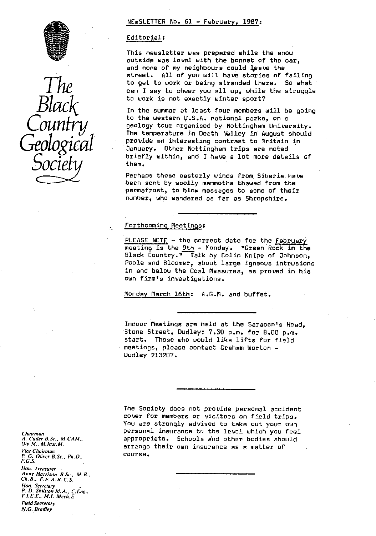



### NEWSLETTER No. 61 - February, 1987 :

### Editorial :

This newsletter was prepared while the snow outside was level with the bonnet of the car, and none of my neighbours could leave the street. All of you will have stories of failing get. to work or being stranded there. So what can I say to cheer you all up, while the struggle<br>to work is not exactly winter sport?

In the summer at least four members will be going<br>to the western U.S.A. national parks, on a geology tour organised by Nottingham University. The temperature in Death Valley in August should<br>provide an interesting contrast to Britain in *Gmlogica* provide an interesting contrast to Britain in *<sup>u</sup>* January. Other Nottingham trips are noted briefly within, and I have a lot more details of<br>them.

Perhaps these easterly winds from Siberia have been sent by woolly mammoths thawed from the permafrost, to blow messages to some of their number, who wandered as far as Shropshire.

# Forthcoming Meetings:

PLEASE NOTE - the correct date for the February meeting is the 9th - Monday. "Green Rock in the Black Country." Talk by Colin Knipe of Johnson, Poole and Bloomer, about large igneous intrusions in and below the Coal Measures, as proved in his own firm's investigations.

Monday March 16th: A.G.M. and buffet.

Indoor Meetings are hold at the Saracen's Head, Stone Street, Dudley: 7.30 p.m. for 6.00 p.m. start. Those who would like lifts for field meetings, please contact Graham Worton - Dudley 213207.

The Society does not provide personal accident cover for members or visitors on field trips. You are strongly advised to take out your own personal insurance to the level which you feel appropriate. Schools and other bodies should arrange their own insurance as a matter of course.

*Chairman A. Cutler 8. Sc.. M. CAM.. Dip. M.. M. Insl. M. Vice Chairman P. G. Oliver 8\_Sc., Ph.D., F.G.S. lion. Treasurer Anne Harrison B.Sc., M.B.,* Ch. *B.. FF.A.R.C.S. Harr. Secretary P\_ D. Shilsion M.A., CEng,* F. I. E. E., M.1. Mech. E. Field Secretary *N.G. Bradley*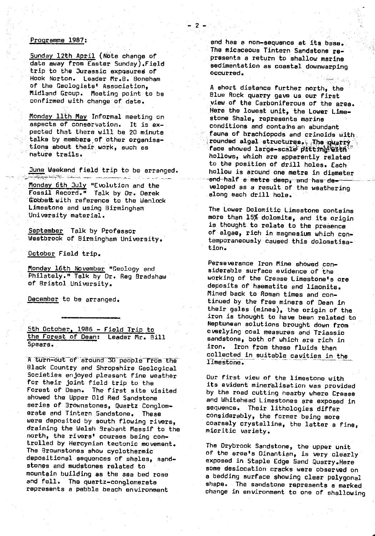# Programme 1987:

Sunday 12th April (Note change of date away from Easter Sunday).Field trip to the Jurassic exposured of • Hook Norton. Leader Mr.B. Boneham of the Geologists' Association, Midland Group. Meeting point to be • confirmed with change of. date.

Monday 11th May Informal meeting on aspects of conservation. It is expected that there will be 20 minute talks by members of other organisations about their. work, such as nature trails.

June Weekend field trip to be arranged.

Monday 6th July "Evolution and the Fossil Record." Talk by Dr. Derek Gobbett with reference to the Wenlock Limestone and using Birmingham University material.

September Talk by Professor Westbrook of Birmingham University.

October Field trip.

Monday 16th November "Geology and Philately." Talk by Dr. Reg Bradshaw of Bristol University.

December to be arranged.

5th October, 1986 - Field Trip to the Forest of Dean: Leader Mr. Bill Spears.

A turn-out of around 30 people from the Black Country and Shropshire Geological Societies enjoyed pleasant fine weather for their joint field trip to the Forest of Dean. The first site visited showed the Upper Old Red Sandstone series of Brownstones, Quartz Conglomorate and Tintern Sandstone. These were deposited by south flowing rivers, draining the Welsh Brabant Massif to the north, the rivers' courses being controlled by Hercynien tectonic movement. The Brownstones show cyclothermic depositional sequences of shales, sandstones and mudstones related to mountain building as the sea bed rose and fell. The quartz-conglomerate represents a pebble beach environment

and has a non-sequence at its base. The micaceous Tintern Sandstone represents a return to shallow marine sedimentation as coastal downwarping occurred.

 $\mathcal{L}$ 

A short distance further north, the Blue Rock quarry gave us our first view of the Carboniferous of the area. Here the lowest unit, the Lower Limeatone Shale, represents marine conditions and contains an abundant fauna of brachiopods and crinoids with rounded algal structures. The quarry face showed large-scale pitting with hollows, which are apparently related to the position of drill holes. Each hollow is around one metre in diameter end half a metre deep, and has developed as a result of the weathering along each drill hole.

The Lower Dolomitic Limestone contains more than 15% dolomite, and its origin is thought to relate to the presence of algae, rich in magnesium which contemporaneously caused this dolomatisation.

Perseverance Iron Mine showed considerable surface evidence of the working of the Crease Limestone's are deposits of haematite and limonite. Mined back to Roman times and continued by the free miners of Dean in their gales (mines), the origin of the iron is thought to have been related to Neptunean solutions brought down from overlying coal measures and Triassic sandstone, both of which are rich in<br>iron. Iron from these fluids then iron. Iron from these fluids then collected in suitable cavities in the \_.. limestone;

Our first view of the limestone with its evident mineralisation was provided by the road cutting nearby where Crease and Whitehead Limestones are exposed in sequence. Their lithologies differ considerably, the former being more coarsely crystalline, the latter a fine, mlcritic variety.

The Drybrook Sandstone, the upper unit of the area's Dinantien, is very clearly exposed in Staple Edge Sand Quarry.Here some desiccation cracks were observed on a bedding surface showing clear polygonal shape. The sandstone represents a marked change in environment to one of shallowing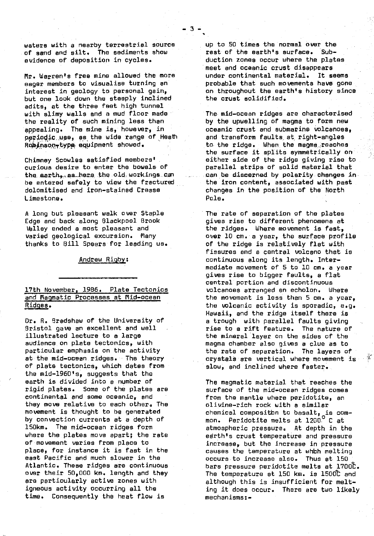waters with a nearby terrestrial source of sand and silt. The sediments show evidence of deposition in cycles.

Mr. Warren's free mine allowed the more eager members to visualise turning an interest in geology to personal gain, but one look down the steeply inclined adits, at the three feet high tunnel with slimy walls and a mud floor made the reality of such mining less than appealing. The mine is, however, in periodic use, as the wide range of Heath Robinson-type equipment showed.

Chimney Scowles satisfied members' curious desire to enter the bowels of the earth, as here the old workings can be entered safely to view the fractured dolomitised and iron-stained Crease Limestone.

A long but pleasant walk over Staple Edge and back along Blackpool Brook Valley ended a most pleasant and varied geological excursion. Many thanks to Bill Spears for leading us.

Andrew Rigby:

# 17th November, 1986. Plate Tectonics and Magmatic Processes at Mid-ocean Ridges.

Dr. R. Bradshaw of the University of Bristol gave an excellent and well illustrated lecture to a large audience on plate tectonics, with particular emphasis on the activity at the mid-ocean ridges. The theory of plate tectonics, which dates from the mid-l960's, suggests that the earth is divided into a number of rigid plates. Some of the plates are continental and some oceanic, and they move relative to each other. The movement is thought to be generated by convection currents at a depth of 150km, The mid-ocean ridges farm where the plates move apart; the rate of movement varies from place to place, for instance it is fast in the east Pacific and much slower in the Atlantic. These ridges are continuous over their 50,000 km. length and they are particularly active zones with igneous activity occurring all the time. Consequently the heat flow is

up to 50 times the normal over the<br>rest of the earth's surface.  $S(b) =$ rest of the earth's surface. duction zones occur where the plates meet and oceanic crust disappears<br>under continental material. It seems under continental material. probable that such movements have gone. on throughout the earth's history since the crust solidified.

The mid-ocean ridges are characterised by the upwelling of magma to form new oceanic crust and submarine volcanoes, and transform faults at right-angles to the ridge. When the magma reaches **the surface it splits symmetrically on either** side of the ridge giving rise to parallel strips of solid material that can be discerned by polarity changes in the iron content, associated with past changes in the position of the North. Pole.

The rate of separation of the plates gives rise to different phenomena at the ridges. Where movement is fast, over 10 cm. a year, the surface profile of the ridge is relatively flat with fissures and a central volcano that is continuous along its length. Intermediate movement of 5 to 10 cm. a year gives rise to bigger faults, a flat central portion and discontinuous volcanoes arranged an echolon. Where the movement is less than 5 cm. a year, the volcanic activity is sporadic, e.g. Hawaii, and the ridge **itself** there is a trough with parallel faults giving rise to a rift feature. The nature of the mineral layer on the sides of the magma chamber also gives a clue as to the rate of separation. The layers of crystals are vertical where movement is. slow, and inclined where faster.

The magmatic material that reaches the surface of the mid-ocean ridges comes from the mantle where peridotite, an olivine-rich rock with a similar chemical composithn to basalt, is common. Peridotite melts at 1200°C at atmospheric pressure. At depth in the earth's crust temperature and pressure increase, but the increase in pressure causes the temperature at which melting occurs to increase also. Thus at 150 bars pressure peridotite melts at 1700C. The temperature at 150 km. is 1500t and although this is insufficient for melting it does occur. There are two likely mechanisms:-

l,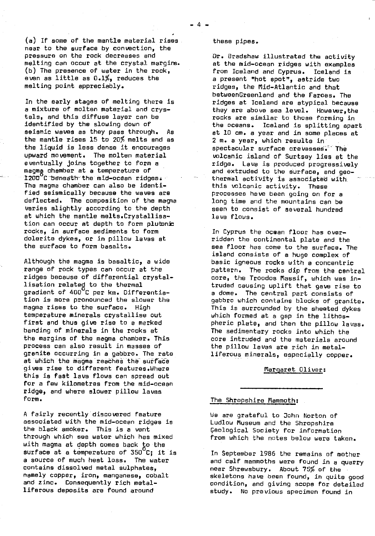(a) If some of the mantle material rises near to the surface by convection, the pressure on the rock decreases and melting can occur at the crystal margins. (b) The presence of water in the rock, even as little as 0.1%, reduces the melting point appreciably.

In the early stages of melting there is a mixture of molten material and crystals, and this diffuse layer can be identified by the slowing down of seismic waves as they pass through. As the mantle rises 15 to 20% melts and as the **liquid is** less dense it encourages upward movement. The molten material eventually joins together to form a magma chamber at a temperature of  $1200^6$ C beneath the mid-ocean ridges. The magma chamber can also be identified seismically because the waves are deflected. The composition of the magna varies slightly according to the depth at which the mantle melts.Crystallisation can occur at depth to form plutonic rocks, in surface sediments to form dolerite dykes, or in pillow lavas at the surface to form basalts.

Although the magma is basaltic, a wide range of rock types can occur at the ridges because of differential crystallisation related to the thermal gradient of 400<sup>0</sup>C per km. Differentiation is more pronounced the slower the magma rises to the surface. High temperature minerals crystallise out first and thus give rise to a marked banding of minerals in the rocks at the margins of the magma chamber. This process can also result in masses of granite occurring in a gabbro. The rate at Which the magma reaches the surface gives rise to different features.Where this is fast lava flows can spread out for a few kilometres from the mid-ocean ridge, and where slower pillow laves form.

A fairly recently discovered feature associated with the mid-ocean ridges is the black smoker. This is a vent through which sea water which has mixed with magma at depth comes back to the surface at a temperature of  $350^{\circ}$ C; it is a source of much heat loss. The water contains dissolved metal sulphates, namely copper, iron, manganese, cobalt and zinc. Consequently rich metalliferous deposits are found around

### these pipes.

-4-

Dr. Bradshaw illustrated the activity at the mid-ocean ridges with examples from Iceland and Cyprus. Iceland is a present "hot spot", astride two ridges, the Mid-Atlantic and that betweenGreenland and the Farces. The ridges at Iceland are atypical because they are above sea level. However,the rocks are similar to those forming in the oceans. Iceland is splitting apart at 10 cm. a year and in some places at 2 m. a year, which results in spectacular surface crevasses. The volcanic island of Surtsey lies at the ridge. Lava is produced progressively and extruded to the surface, and geothermal activity is associated with this volcanic activity. These processes have been going on for a long time and the mountains can be seen to consist of several hundred lava flows.

In Cyprus the ocean floor has overridden the continental plate and the sea floor has come to the surface. The island consists of a huge complex of basic igneous rocks with a concentric pattern. The rocks dip from the central core, the Troodos Massif, which was intruded causing uplift that gave rise to a dome. The central part consists of gabbro which contains blocks of granite. This is surrounded by the sheeted dykes which formed at a gap in the lithospheric plate, and then the pillow lavas. The sedimentary rocks into which the core intruded and the materials around the pillow lavas are rich in metalliferous minerals, especially copper.

#### Margaret Oliver:

#### The Shropshire Mammoth:

We are grateful to John Norton of Ludlow Museum and the Shropshire Geological Society for information from which the notes below were taken.

In September 1986 the remains of mother and calf mammoths were found in a quarry near Shrewsbury. About 75% of the skeletons have been found, in quite good condition, and giving scope for detailed study. No previous specimen found in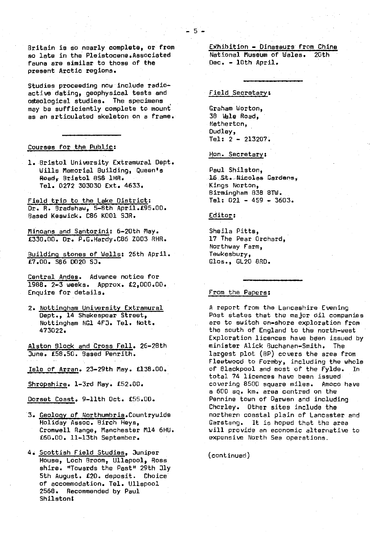Britain is so nearly complete, or from so late in the Pleistocene.Associated fauna are similar to those of the present Arctic regions.

Studies proceeding now include radioactive dating, geophysical tests and oteological studies. The. specimens may be sufficiently complete to mount as an articulated skeleton on a frame..

#### Courses for the Public:

1. Bristol University Extramural Dept. Wills Memorial Building, Queen's Road,- Bristol BS8 •1HR. Tel. 0272 303030 Ext. 4633.

Field trip to the Lake District: Dr. R. Bradshaw, 5-8th April.£95.00. Based Keswick. 086 K001 SJR.

Minoans and Santorini: 6-20th May. £330.00. Dr. P.G.Hardy.C86 Z003 RHR.

Building stones of Wells: 26th April. £7.00. S86 0020 53.

Central Andes. Advance notice for 1988. 2-3 weeks. Approx. £2,000.00. Enquire for details.

2. Nottingham University Extramural Dept., 14 Shakespear Street, Nottingham NGl 4FJ. Tel. Nott. 473022.

Alston Block and Cross Fell. 26-28th June. £58.50. Based Penrith.

Isle of Arran. 23-29th May. £138.00.

Shropshire. 1-3rd May. £52.00.

Dorset Coast. 9-11th Oct. £55.00.

3. Geology of Worthumbria .Countrywide Holiday Assoc. Birch Heys, Cromwell Range, Manchester M14 6HU. £60.00. 11-13th September.

4. Scottish Field Studies, Juniper House, Loch Broom, Ullapool, Ross shire. "Towards the Past" 29th Jly 5th August. £20. deposit. Choice of accommodation. Tel. Ullepool 2568. Recommended by Paul Shilston\$

Exhibition - Dinaseurs from Chine National Museum of Wales. Dec. - 10th April.

### Field Secretary :

-6-.

Graham Worton, 38 Vale Road, Netherton, Dudley, Tel: 2 - 213207.

Hon. Secretary :

Paul Shilston, 16 St. Nicolas Gardens, Kings Norton, Birmingham 838 8TW. Tel: 021 - 459 - 3603.

Editor :

Sheila Pitts, 17 The Pear Orchard, Northway Farm, Tewkesbury, Cbos., GL20 8RD.

# From the Papers :

A report from the Lancashire Evening Post states that the major dil companies are to switch on-shore exploration from the south of England to the north-west Exploration licences have been issued by minister Alick Buchanan-Smith. The largest plot (SP) covers the area from Fleetwood to Formby, including the whole<br>of Blackpool and most of the Fylde. In of Blackpool and most of the Fylde. total 74 licences have been issued covering 8500 square miles. Amoco have a 600 [sq.](http://sq.km) [km](http://sq.km). area centred on the Pennine town of Darwen and including Chcrley. Other sites include the northern coastal plain of Lancaster and Garsteng. It is hoped that the area will provide an economic alternative to expensive North Sea operations.

(continued)